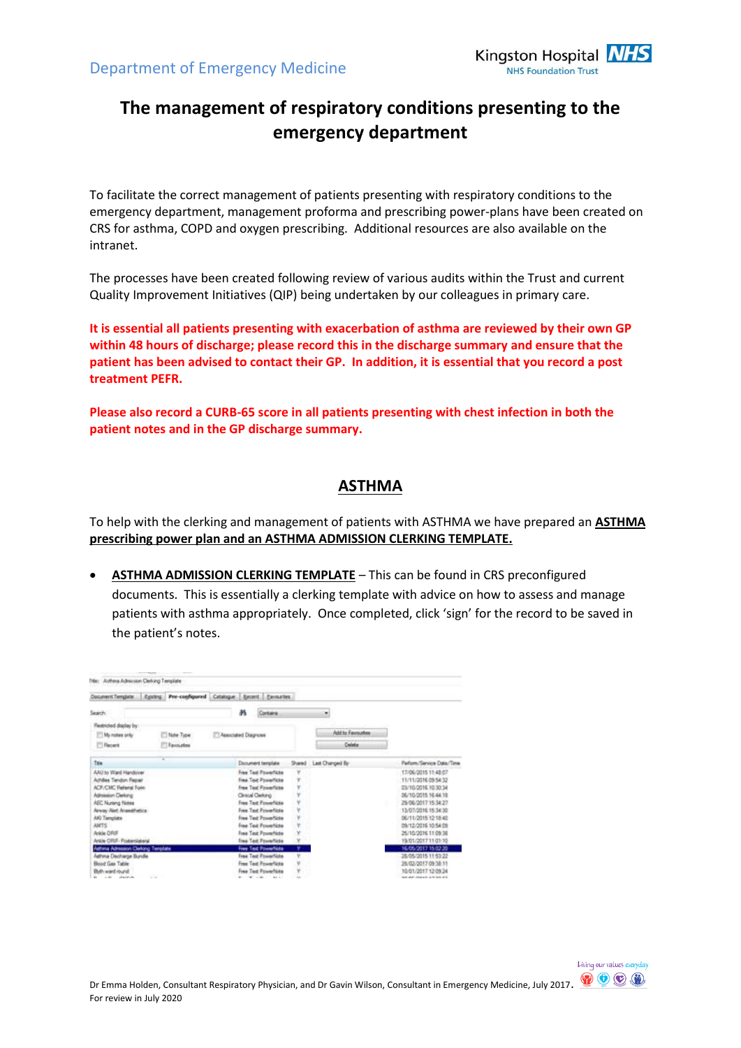

# **The management of respiratory conditions presenting to the emergency department**

To facilitate the correct management of patients presenting with respiratory conditions to the emergency department, management proforma and prescribing power-plans have been created on CRS for asthma, COPD and oxygen prescribing. Additional resources are also available on the intranet.

The processes have been created following review of various audits within the Trust and current Quality Improvement Initiatives (QIP) being undertaken by our colleagues in primary care.

**It is essential all patients presenting with exacerbation of asthma are reviewed by their own GP within 48 hours of discharge; please record this in the discharge summary and ensure that the patient has been advised to contact their GP. In addition, it is essential that you record a post treatment PEFR.**

**Please also record a CURB-65 score in all patients presenting with chest infection in both the patient notes and in the GP discharge summary.**

#### **ASTHMA**

To help with the clerking and management of patients with ASTHMA we have prepared an **ASTHMA prescribing power plan and an ASTHMA ADMISSION CLERKING TEMPLATE.**

 **ASTHMA ADMISSION CLERKING TEMPLATE** – This can be found in CRS preconfigured documents. This is essentially a clerking template with advice on how to assess and manage patients with asthma appropriately. Once completed, click 'sign' for the record to be saved in the patient's notes.

| Document Template                                             |              | Estring: Pre-configured Catalogue Secont Eastwates |            |                  |                                            |
|---------------------------------------------------------------|--------------|----------------------------------------------------|------------|------------------|--------------------------------------------|
| Search                                                        |              | m<br>Contains                                      |            | ۰                |                                            |
| Flextricted display by:                                       |              |                                                    |            |                  |                                            |
| My notes only                                                 | 10 Note Type | Associated Diagnose                                |            | Add to Favourtex |                                            |
| <b>Fill Recent</b>                                            | Favouries    |                                                    |            | Delete           |                                            |
| Tow                                                           |              | Document template                                  | Shared     | Last Changed By  | Perform/Service Date/Time                  |
| AAU to 'Ward Handover                                         |              | Free Test Powerficte                               | ۷          |                  | 17/06/2015 11:48:07                        |
| Achiles Tendon Repair                                         |              | Free Text Powerficite                              |            |                  | 11/11/2016 09:54:32                        |
| <b>ACP/CMC Flational Form</b>                                 |              | Free Text Foxerfulle                               |            |                  | 03/10/2016 10:30:34                        |
| Admission Deking                                              |              | Clevical Clarkshot                                 |            |                  | 06/10/2015 16:44 18                        |
| <b>AEC Nurang Notes</b>                                       |              | Free Text Powerficto                               |            |                  | 29/06/2017 15:34:27                        |
| Amay Alet Anseithetics                                        |              | Free Text Powerfictor                              |            |                  | 13/07/2016 15:34:30                        |
| AKI Tamplate                                                  |              | <b>Free Test Powerficto</b>                        |            |                  | 06/11/2015 12:18:40                        |
| <b>AMTS</b>                                                   |              | Free Test PowerNiste                               |            |                  | 09/12/2016 10:54:05                        |
| Ankle ORIF                                                    |              | Free Test Powerfiste                               | Y          |                  | 25/10/2016 11:09:38                        |
| Ankle ORIF- Posterslateral                                    |              | Free Text PowerNote<br><b>Free Test PowerNote</b>  | Υ<br>۳     |                  | 19/01/2017 11:01:10<br>16/05/2017 15:02:20 |
| Asthma Admission Clerking Template<br>Aathma Discharge Bundle |              | Free Test Procertists                              | $\sqrt{r}$ |                  | 26/05/2015 11:53:22                        |
| <b>Bood Gas Table</b>                                         |              | Free Text Powerfliste                              |            |                  | 28/02/2017 09:38 11                        |
| Bluth ward round                                              |              | Free Test Fourerflicts                             |            |                  | 10/01/2017 12:09:34                        |
| and the state and the state and                               | The Seat of  |                                                    |            |                  | that July University Life And Arts         |

Living our values everyday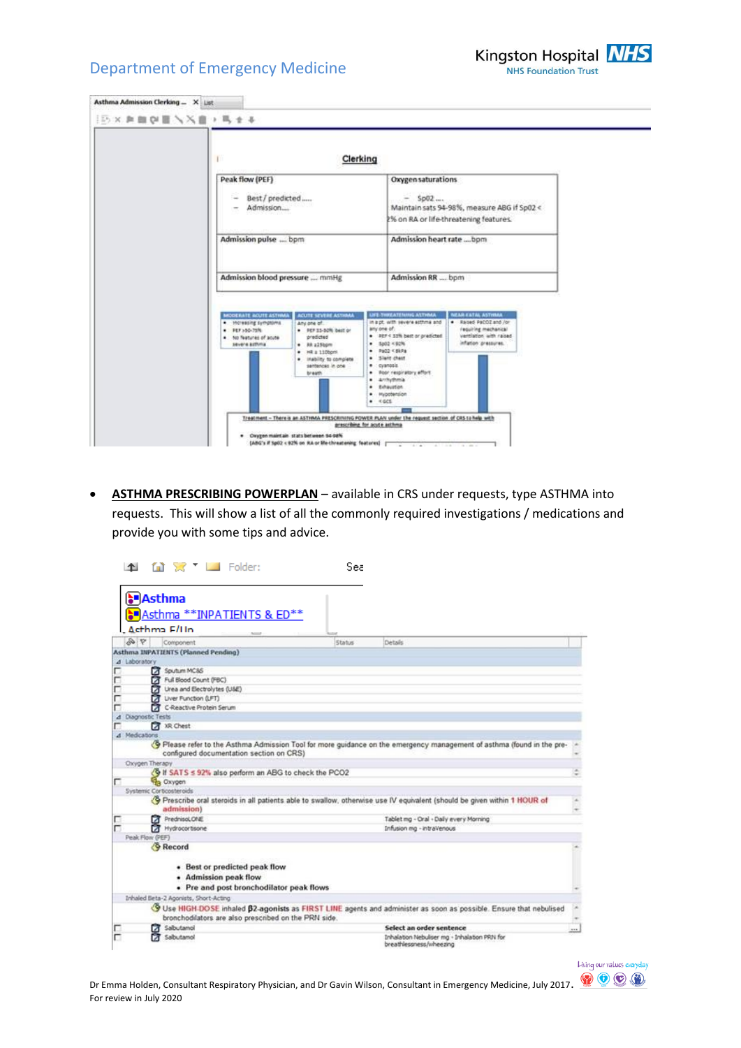

|                                                          |                                                                                                                                            | Clerking                                                                                                                                                            |                                                                                       |
|----------------------------------------------------------|--------------------------------------------------------------------------------------------------------------------------------------------|---------------------------------------------------------------------------------------------------------------------------------------------------------------------|---------------------------------------------------------------------------------------|
| Peak flow (PEF)<br>Best / predicted<br>Admission         |                                                                                                                                            | Oxygen saturations<br>$-$ 5p02                                                                                                                                      | Maintain sats 94-98%, measure ABG if Sp02 <<br>2% on RA or life-threatening features. |
| Admission pulse  bpm                                     |                                                                                                                                            | Admission heart rate  bom                                                                                                                                           |                                                                                       |
| Admission blood pressure  mmHg                           |                                                                                                                                            | Admission RR  bpm                                                                                                                                                   |                                                                                       |
| <b>MODERATE ACUTE ASTINAA</b><br>. Increasing symptoms   | <b>ACUTE SEVERE ASTMAA</b><br>Any one of.                                                                                                  | AMPITAL QUARTERS AND ITS<br>in ppt, with severe atthma and                                                                                                          | <b>CAR CATAL ASTIMAR</b><br>. Raised PaCOZ and /or                                    |
| # PEF >50-75%<br>. No features of acute<br>severe asthma | . PEF 15-50% best or<br>predicted<br>$+$ $kk$ $z25$ bpm<br>$+$ $mR \pm 110$ born<br>. Insbility to complete.<br>santences in one<br>braam. | any one of:<br>. JEF < 12% best or predicted.<br>$-5202 \times 92\%$<br>$+ 7602$ < SkPa<br>. Slant chast<br>· cyanosis<br>. Poor respiratory effort<br>· Arrhythmia | requiring mechanical<br>vertilation with raised<br>infation pressures.                |

 **ASTHMA PRESCRIBING POWERPLAN** – available in CRS under requests, type ASTHMA into requests. This will show a list of all the commonly required investigations / medications and provide you with some tips and advice.



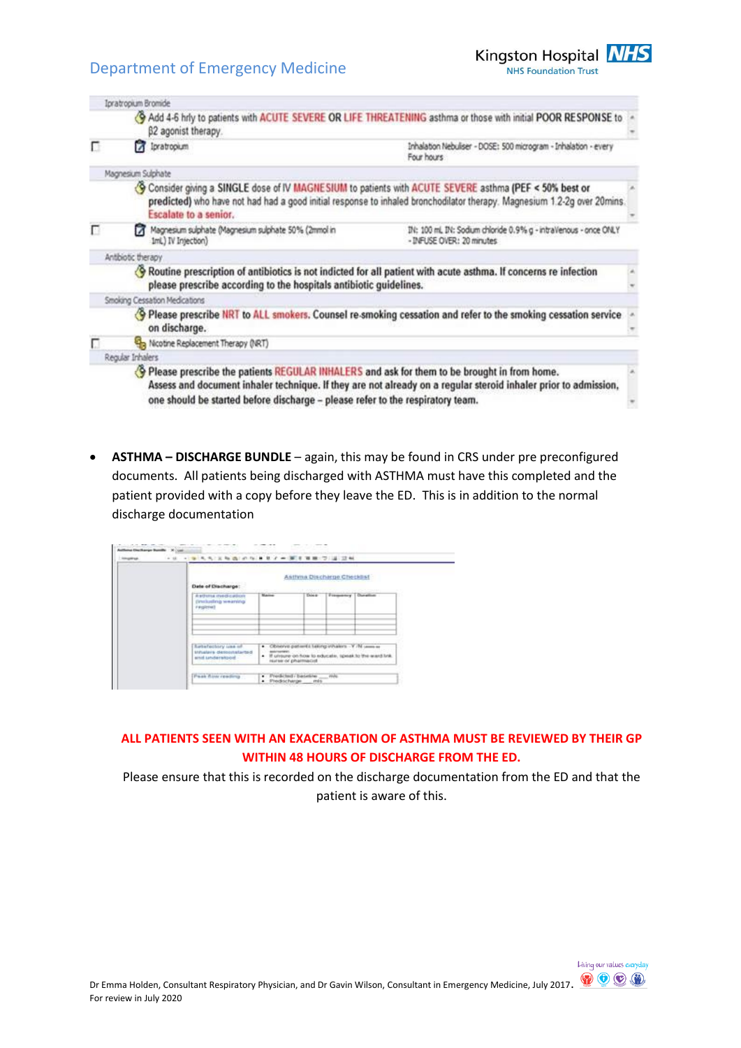

|   | <b>Ipratropium Bromide</b>                                                                                                                                                            |                                                                                                                          |  |
|---|---------------------------------------------------------------------------------------------------------------------------------------------------------------------------------------|--------------------------------------------------------------------------------------------------------------------------|--|
|   | β2 agonist therapy.                                                                                                                                                                   | Add 4-6 hrly to patients with ACUTE SEVERE OR LIFE THREATENING asthma or those with initial POOR RESPONSE to             |  |
| п | 7 Ipratropium                                                                                                                                                                         | Inhalation Nebuliser - DOSE: 500 microgram - Inhalation - every<br>Four hours                                            |  |
|   | Magnesium Sulphate                                                                                                                                                                    |                                                                                                                          |  |
|   | Consider giving a SINGLE dose of IV MAGNESIUM to patients with ACUTE SEVERE asthma (PEF < 50% best or<br>Escalate to a senior.                                                        | predicted) who have not had had a good initial response to inhaled bronchodilator therapy. Magnesium 1.2-2g over 20mins. |  |
| п | Magnesium sulphate (Magnesium sulphate 50% (2mmol in<br>1mL) IV Intection)                                                                                                            | IN: 100 ml. IN: Sodium chloride 0.9% g - intraVenous - once ONLY<br>- INFUSE OVER: 20 minutes                            |  |
|   | Antibiotic therapy                                                                                                                                                                    |                                                                                                                          |  |
|   | Routine prescription of antibiotics is not indicted for all patient with acute asthma. If concerns re infection<br>please prescribe according to the hospitals antibiotic guidelines. |                                                                                                                          |  |
|   | Smoking Cessation Medications                                                                                                                                                         |                                                                                                                          |  |
|   |                                                                                                                                                                                       | Please prescribe NRT to ALL smokers. Counsel re-smoking cessation and refer to the smoking cessation service             |  |
|   | on discharge.                                                                                                                                                                         |                                                                                                                          |  |
|   | Nicotine Replacement Therapy (NRT)                                                                                                                                                    |                                                                                                                          |  |
|   | Regular Inhalers                                                                                                                                                                      |                                                                                                                          |  |
|   | . Please prescribe the patients REGULAR INHALERS and ask for them to be brought in from home.                                                                                         | Assess and document inhaler technique. If they are not already on a regular steroid inhaler prior to admission,          |  |
|   | one should be started before discharge - please refer to the respiratory team.                                                                                                        |                                                                                                                          |  |

 **ASTHMA – DISCHARGE BUNDLE** – again, this may be found in CRS under pre preconfigured documents. All patients being discharged with ASTHMA must have this completed and the patient provided with a copy before they leave the ED. This is in addition to the normal discharge documentation

| Date of Discharge:                                                           | Asthma Discharge Checklist<br><b>LESSAGER</b><br><b>CONSTRAIN</b>                                                                                 |         |                          |  |
|------------------------------------------------------------------------------|---------------------------------------------------------------------------------------------------------------------------------------------------|---------|--------------------------|--|
| <b><i>REDUITA INVISCASION</i></b><br>Drinkeling wearing<br><b>Finglehall</b> | <b>Walter</b>                                                                                                                                     | Down or | Frequency Duration<br>-- |  |
| Saternotory use of<br>shhalara dessonalarted<br>and understood.              | . Closerve patients taking inhalers - Y /N unever<br>dela/novement<br>. If unsure on how to educate, speak to the ward link<br>numeror pharmacist |         |                          |  |

#### **ALL PATIENTS SEEN WITH AN EXACERBATION OF ASTHMA MUST BE REVIEWED BY THEIR GP WITHIN 48 HOURS OF DISCHARGE FROM THE ED.**

Please ensure that this is recorded on the discharge documentation from the ED and that the patient is aware of this.

Living our values everyday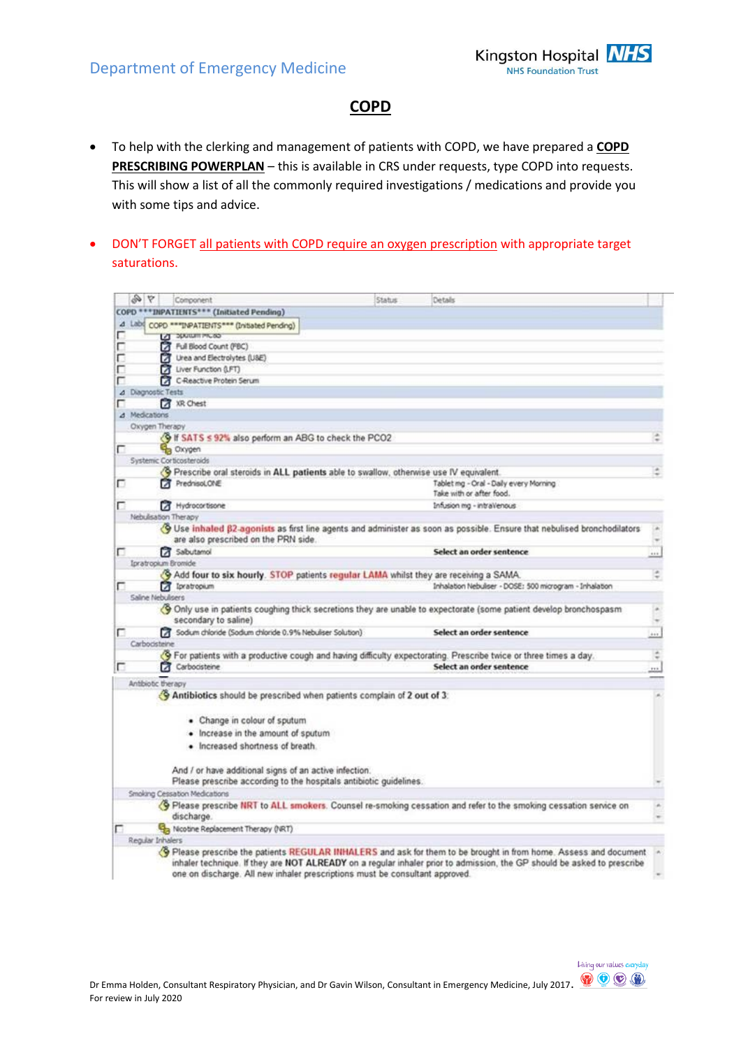

Living our values everyday

### **COPD**

- To help with the clerking and management of patients with COPD, we have prepared a **COPD PRESCRIBING POWERPLAN** – this is available in CRS under requests, type COPD into requests. This will show a list of all the commonly required investigations / medications and provide you with some tips and advice.
- DON'T FORGET all patients with COPD require an oxygen prescription with appropriate target saturations.

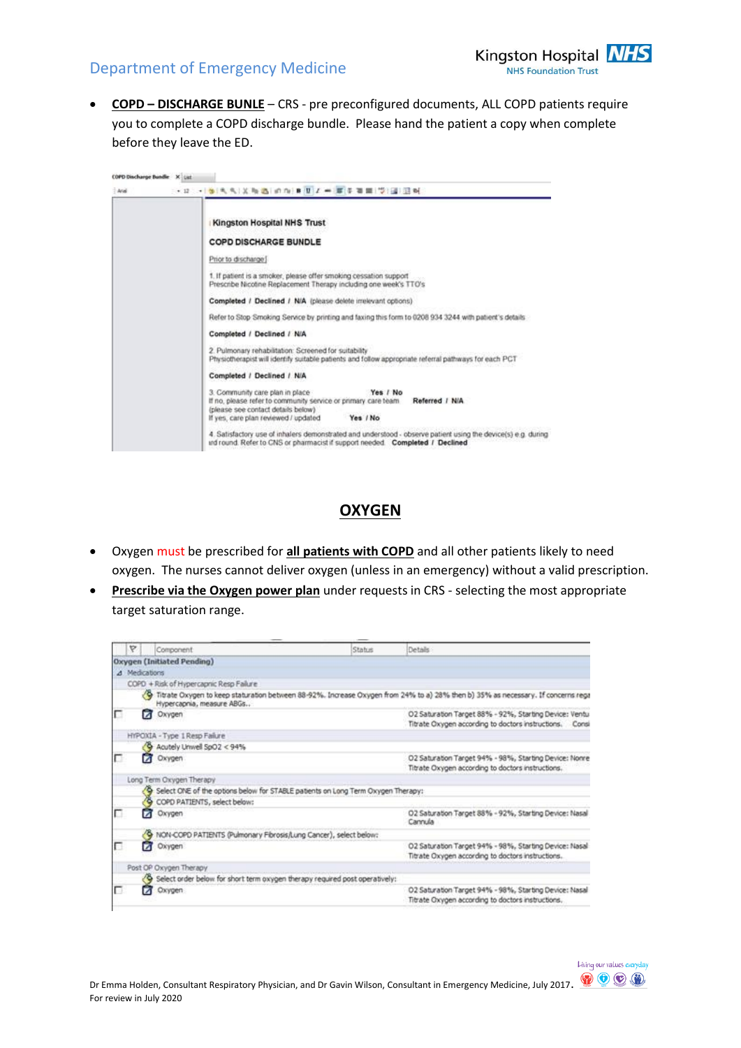

 **COPD – DISCHARGE BUNLE** – CRS - pre preconfigured documents, ALL COPD patients require you to complete a COPD discharge bundle. Please hand the patient a copy when complete before they leave the ED.

| $+$ And | → ロート 参考 先 次 後 古 の の 良 世 ノ 一 厚 子 百 間 (学) 国 三 時                                                                                                                                                                           |
|---------|--------------------------------------------------------------------------------------------------------------------------------------------------------------------------------------------------------------------------|
|         | Kingston Hospital NHS Trust                                                                                                                                                                                              |
|         | <b>COPD DISCHARGE BUNDLE</b>                                                                                                                                                                                             |
|         | Prior to discharge:                                                                                                                                                                                                      |
|         | 1. If patient is a smoker, please offer smoking cessation support<br>Prescribe Nicotine Replacement Therapy including one week's TTO's                                                                                   |
|         | Completed / Declined / N/A (please delete irrelevant options)                                                                                                                                                            |
|         | Refer to Stop Smoking Service by printing and faxing this form to 0208 934 3244 with patient's details                                                                                                                   |
|         | Completed / Declined / N/A                                                                                                                                                                                               |
|         | 2. Pulmonary rehabilitation: Screened for suitability<br>Physiotherapist will identify suitable patients and follow appropriate referral pathways for each PCT                                                           |
|         | Completed / Declined / N/A                                                                                                                                                                                               |
|         | 3. Community care plan in place<br>Yes / No<br>If no, please refer to community service or primary care team<br>Referred / N/A<br>(please see contact details below)<br>If yes, care plan reviewed / updated<br>Yes / No |
|         | 4. Satisfactory use of inhalers demonstrated and understood - observe patient using the device(s) e.g. during<br>urd round. Refer to CNS or pharmacist if support needed. Completed / Declined                           |

### **OXYGEN**

- Oxygen must be prescribed for **all patients with COPD** and all other patients likely to need oxygen. The nurses cannot deliver oxygen (unless in an emergency) without a valid prescription.
- **Prescribe via the Oxygen power plan** under requests in CRS selecting the most appropriate target saturation range.

| Y |               | Component                                                                        | <b>Status</b> | <b>Details</b>                                                                                                                      |
|---|---------------|----------------------------------------------------------------------------------|---------------|-------------------------------------------------------------------------------------------------------------------------------------|
|   |               | <b>Oxygen (Initiated Pending)</b>                                                |               |                                                                                                                                     |
|   | 4 Medications |                                                                                  |               |                                                                                                                                     |
|   |               | COPD + Risk of Hypercapnic Resp Failure                                          |               |                                                                                                                                     |
|   |               | Hypercapnia, measure ABGs                                                        |               | 39 Titrate Oxygen to keep staturation between 88-92%. Increase Oxygen from 24% to a) 28% then b) 35% as necessary. If concerns rega |
| г |               | Oxygen                                                                           |               | O2 Saturation Target 88% - 92%, Starting Device: Ventu<br>Titrate Oxygen according to doctors instructions. Consi                   |
|   |               | HYPOXIA - Type 1 Resp Failure                                                    |               |                                                                                                                                     |
|   |               | Acutely Univell SpO2 < 94%                                                       |               |                                                                                                                                     |
| г |               | Oxygen                                                                           |               | O2 Saturation Target 94% - 98%, Starting Device: Nonre<br>Titrate Oxygen according to doctors instructions.                         |
|   |               | Long Term Oxygen Therapy                                                         |               |                                                                                                                                     |
|   |               | Select ONE of the options below for STABLE patients on Long Term Oxygen Therapy: |               |                                                                                                                                     |
|   |               | COPD PATIENTS, select below:                                                     |               |                                                                                                                                     |
| п |               | Oxygen                                                                           |               | O2 Saturation Target 88% - 92%, Starting Device: Nasal<br>Cannula                                                                   |
|   |               | NON-COPD PATIENTS (Pulmonary Fibrosis/Lung Cancer), select below:                |               |                                                                                                                                     |
| п |               | Oxygen                                                                           |               | O2 Saturation Target 94% - 98%, Starting Device: Nasal<br>Titrate Oxygen according to doctors instructions.                         |
|   |               | Post OP Oxygen Therapy                                                           |               |                                                                                                                                     |
|   |               | Select order below for short term oxygen therapy required post operatively:      |               |                                                                                                                                     |
|   |               | Oxygen                                                                           |               | O2 Saturation Target 94% - 98%, Starting Device: Nasal<br>Titrate Oxygen according to doctors instructions.                         |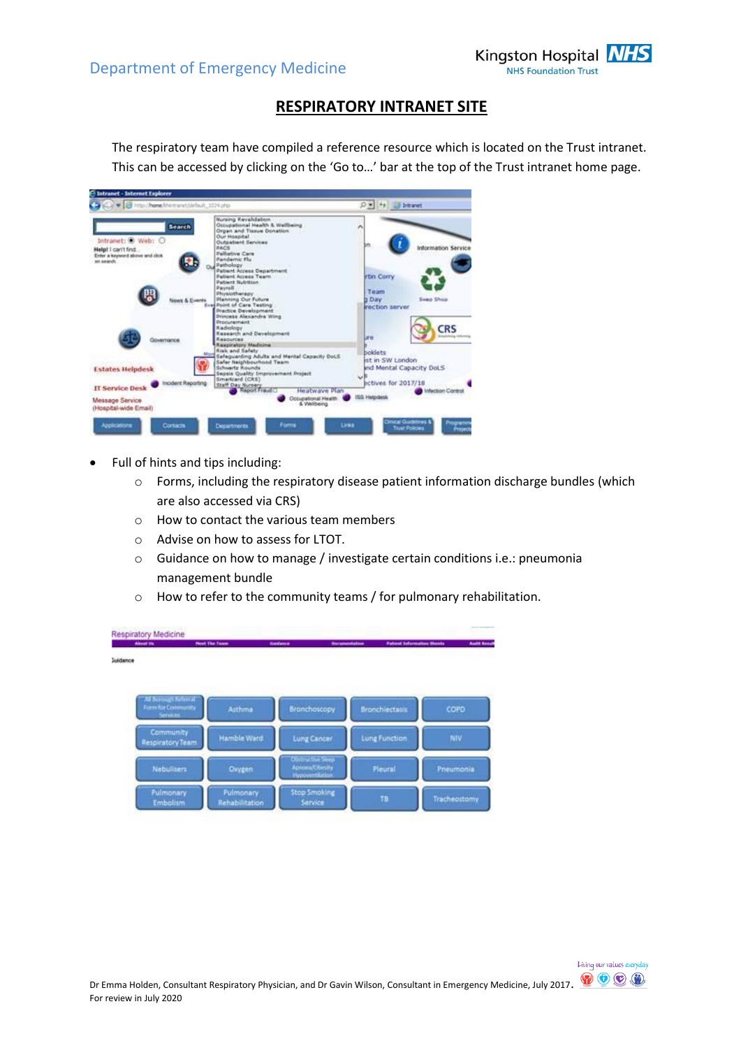

Living our values everyday

### **RESPIRATORY INTRANET SITE**

The respiratory team have compiled a reference resource which is located on the Trust intranet. This can be accessed by clicking on the 'Go to…' bar at the top of the Trust intranet home page.

| <b>Bursing Revalidation</b><br>Occupational Health & Wellbeing<br>Search<br>Organ and Tissue Donation<br>Our Hospital<br>Intranet: @ Web: O<br>Outpatient Services<br><b>BACK</b><br>Help! I can't find<br>Pallistive Care<br>Enter a keyword above and click<br>Pandemic Flu<br>po salech.<br>Pathology<br>Patient Access Department<br>rtin Corry<br>Patient Access Team.<br><b>Patient Nutrition:</b><br>Paynell<br>Team<br>Physiotherapy<br><b>Planning Our Future</b><br><b>b</b> Day<br><b>Swap Shop</b><br><b>WX &amp; Events</b><br><b>Evel Point of Care Testing</b><br>irection server<br><b>Practice Development</b><br>Princess Alexandra Wing<br><b>Producement</b><br><b>CRS</b><br><b>Radiology</b><br><b>Kesearch and Development</b><br>are.<br>Ваходной<br>Governance<br><b>Respondery Medicine</b><br><b>Risk and Safety</b><br>boklets<br>More<br>Safeguarding Adults and Mental Capacity DoLS<br>ist in SW London<br>Safer Neighbourhood Team<br>ind Mental Capacity DoLS<br><b>Schwartz Rounds</b><br><b>Estates Helpdesk</b><br>Sepsis Quality Improvement Project<br>Smartcard (CAS)<br><b>Ectives for 2017/18</b><br>Incident Reporting<br>Staff Day Nursery<br>IT Service Desk<br>Report Frankfill<br>Heatwaye Plan<br><b>Infection Control</b><br>ISS Helpidesk<br>Occupational Health<br>Message Service<br>& Wellbeing | Trau/hone/cemarcblebuit_1024.php | $D = 1 + 1$ . The bitment  |
|-----------------------------------------------------------------------------------------------------------------------------------------------------------------------------------------------------------------------------------------------------------------------------------------------------------------------------------------------------------------------------------------------------------------------------------------------------------------------------------------------------------------------------------------------------------------------------------------------------------------------------------------------------------------------------------------------------------------------------------------------------------------------------------------------------------------------------------------------------------------------------------------------------------------------------------------------------------------------------------------------------------------------------------------------------------------------------------------------------------------------------------------------------------------------------------------------------------------------------------------------------------------------------------------------------------------------------------------------------|----------------------------------|----------------------------|
|                                                                                                                                                                                                                                                                                                                                                                                                                                                                                                                                                                                                                                                                                                                                                                                                                                                                                                                                                                                                                                                                                                                                                                                                                                                                                                                                                     |                                  | <b>Information Service</b> |
|                                                                                                                                                                                                                                                                                                                                                                                                                                                                                                                                                                                                                                                                                                                                                                                                                                                                                                                                                                                                                                                                                                                                                                                                                                                                                                                                                     |                                  |                            |
|                                                                                                                                                                                                                                                                                                                                                                                                                                                                                                                                                                                                                                                                                                                                                                                                                                                                                                                                                                                                                                                                                                                                                                                                                                                                                                                                                     |                                  |                            |
|                                                                                                                                                                                                                                                                                                                                                                                                                                                                                                                                                                                                                                                                                                                                                                                                                                                                                                                                                                                                                                                                                                                                                                                                                                                                                                                                                     |                                  |                            |
|                                                                                                                                                                                                                                                                                                                                                                                                                                                                                                                                                                                                                                                                                                                                                                                                                                                                                                                                                                                                                                                                                                                                                                                                                                                                                                                                                     | (Hospital-wide Email)            |                            |

- Full of hints and tips including:
	- o Forms, including the respiratory disease patient information discharge bundles (which are also accessed via CRS)
	- o How to contact the various team members
	- o Advise on how to assess for LTOT.
	- o Guidance on how to manage / investigate certain conditions i.e.: pneumonia management bundle
	- o How to refer to the community teams / for pulmonary rehabilitation.

|                               |                                                                                                                                                         |                                                           | <b>Audit Enter</b><br><b>Patient Information Shoots</b>                                                                                                                  |
|-------------------------------|---------------------------------------------------------------------------------------------------------------------------------------------------------|-----------------------------------------------------------|--------------------------------------------------------------------------------------------------------------------------------------------------------------------------|
|                               |                                                                                                                                                         |                                                           |                                                                                                                                                                          |
|                               |                                                                                                                                                         |                                                           |                                                                                                                                                                          |
|                               |                                                                                                                                                         | Bronchiectasis                                            | COPD                                                                                                                                                                     |
|                               |                                                                                                                                                         |                                                           |                                                                                                                                                                          |
|                               |                                                                                                                                                         |                                                           | NIV.                                                                                                                                                                     |
|                               |                                                                                                                                                         | Pleural                                                   | Pneumonia                                                                                                                                                                |
| Pulmonary<br><b>Fulmonary</b> | <b>Stop Smoking</b>                                                                                                                                     | TB                                                        | Tracheostomy                                                                                                                                                             |
|                               | <b>Respiratory Medicine</b><br>Next The Team<br>All Berough Referral<br><b>Form for Community</b><br>Community<br>Respiratory Team<br><b>Nebulisers</b> | Goldenre<br>Asthma<br><b>Hamble Ward</b><br><b>Oxygen</b> | <b><i><u>Barcamentation</u></i></b><br>Bronchoscopy<br><b>Lung Function</b><br>Lung Cancer<br><b>Distructive Seep</b><br><b>Aprova/Obesity</b><br><b>Hypovernitation</b> |